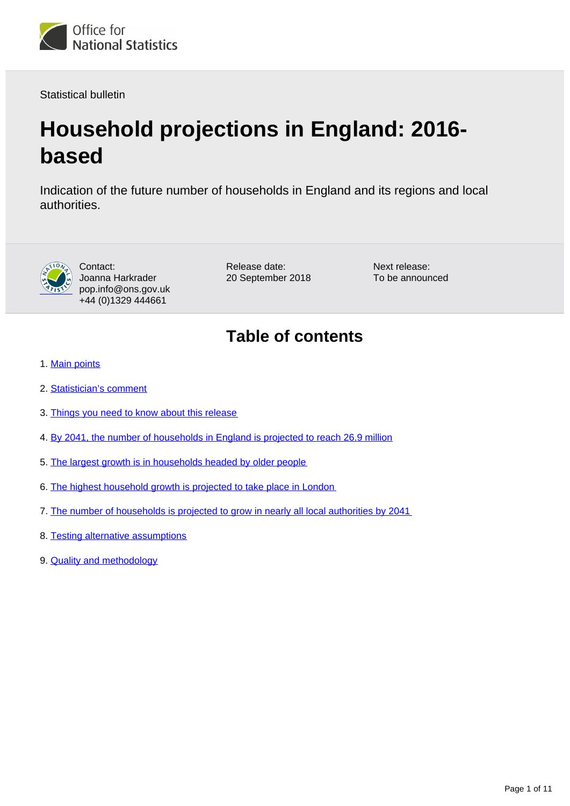

Statistical bulletin

# **Household projections in England: 2016 based**

Indication of the future number of households in England and its regions and local authorities.



Contact: Joanna Harkrader pop.info@ons.gov.uk +44 (0)1329 444661

Release date: 20 September 2018 Next release: To be announced

# **Table of contents**

- 1. [Main points](#page-1-0)
- 2. [Statistician's comment](#page-1-1)
- 3. [Things you need to know about this release](#page-1-2)
- 4. [By 2041, the number of households in England is projected to reach 26.9 million](#page-2-0)
- 5. [The largest growth is in households headed by older people](#page-3-0)
- 6. [The highest household growth is projected to take place in London](#page-5-0)
- 7. [The number of households is projected to grow in nearly all local authorities by 2041](#page-6-0)
- 8. [Testing alternative assumptions](#page-8-0)
- 9. **[Quality and methodology](#page-10-0)**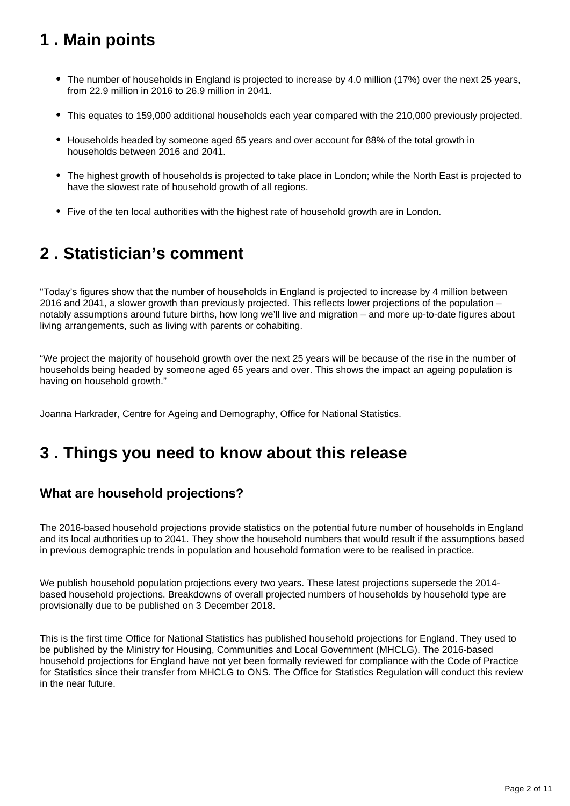# <span id="page-1-0"></span>**1 . Main points**

- The number of households in England is projected to increase by 4.0 million (17%) over the next 25 years, from 22.9 million in 2016 to 26.9 million in 2041.
- This equates to 159,000 additional households each year compared with the 210,000 previously projected.
- Households headed by someone aged 65 years and over account for 88% of the total growth in households between 2016 and 2041.
- The highest growth of households is projected to take place in London; while the North East is projected to have the slowest rate of household growth of all regions.
- Five of the ten local authorities with the highest rate of household growth are in London.

# <span id="page-1-1"></span>**2 . Statistician's comment**

"Today's figures show that the number of households in England is projected to increase by 4 million between 2016 and 2041, a slower growth than previously projected. This reflects lower projections of the population – notably assumptions around future births, how long we'll live and migration – and more up-to-date figures about living arrangements, such as living with parents or cohabiting.

"We project the majority of household growth over the next 25 years will be because of the rise in the number of households being headed by someone aged 65 years and over. This shows the impact an ageing population is having on household growth."

Joanna Harkrader, Centre for Ageing and Demography, Office for National Statistics.

### <span id="page-1-2"></span>**3 . Things you need to know about this release**

#### **What are household projections?**

The 2016-based household projections provide statistics on the potential future number of households in England and its local authorities up to 2041. They show the household numbers that would result if the assumptions based in previous demographic trends in population and household formation were to be realised in practice.

We publish household population projections every two years. These latest projections supersede the 2014based household projections. Breakdowns of overall projected numbers of households by household type are provisionally due to be published on 3 December 2018.

This is the first time Office for National Statistics has published household projections for England. They used to be published by the Ministry for Housing, Communities and Local Government (MHCLG). The 2016-based household projections for England have not yet been formally reviewed for compliance with the Code of Practice for Statistics since their transfer from MHCLG to ONS. The Office for Statistics Regulation will conduct this review in the near future.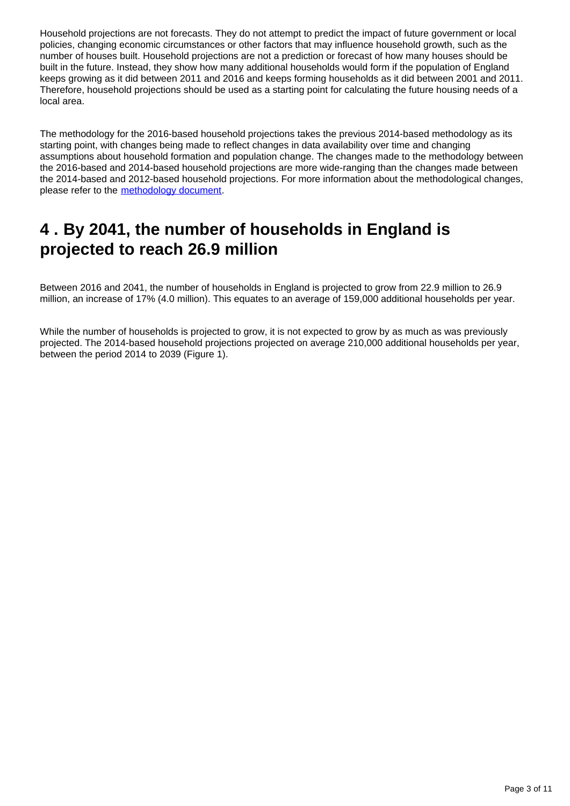Household projections are not forecasts. They do not attempt to predict the impact of future government or local policies, changing economic circumstances or other factors that may influence household growth, such as the number of houses built. Household projections are not a prediction or forecast of how many houses should be built in the future. Instead, they show how many additional households would form if the population of England keeps growing as it did between 2011 and 2016 and keeps forming households as it did between 2001 and 2011. Therefore, household projections should be used as a starting point for calculating the future housing needs of a local area.

The methodology for the 2016-based household projections takes the previous 2014-based methodology as its starting point, with changes being made to reflect changes in data availability over time and changing assumptions about household formation and population change. The changes made to the methodology between the 2016-based and 2014-based household projections are more wide-ranging than the changes made between the 2014-based and 2012-based household projections. For more information about the methodological changes, please refer to the [methodology document.](https://ons.gov.uk/peoplepopulationandcommunity/populationandmigration/populationprojections/methodologies/methodologyusedtoproducehouseholdprojectionsforengland2016based)

# <span id="page-2-0"></span>**4 . By 2041, the number of households in England is projected to reach 26.9 million**

Between 2016 and 2041, the number of households in England is projected to grow from 22.9 million to 26.9 million, an increase of 17% (4.0 million). This equates to an average of 159,000 additional households per year.

While the number of households is projected to grow, it is not expected to grow by as much as was previously projected. The 2014-based household projections projected on average 210,000 additional households per year, between the period 2014 to 2039 (Figure 1).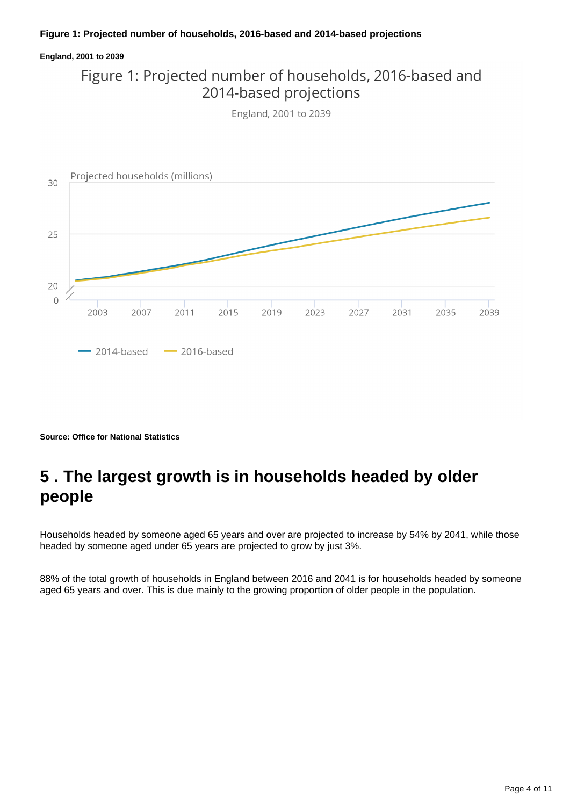#### **Figure 1: Projected number of households, 2016-based and 2014-based projections**

#### **England, 2001 to 2039**

### Figure 1: Projected number of households, 2016-based and 2014-based projections

England, 2001 to 2039



**Source: Office for National Statistics**

### <span id="page-3-0"></span>**5 . The largest growth is in households headed by older people**

Households headed by someone aged 65 years and over are projected to increase by 54% by 2041, while those headed by someone aged under 65 years are projected to grow by just 3%.

88% of the total growth of households in England between 2016 and 2041 is for households headed by someone aged 65 years and over. This is due mainly to the growing proportion of older people in the population.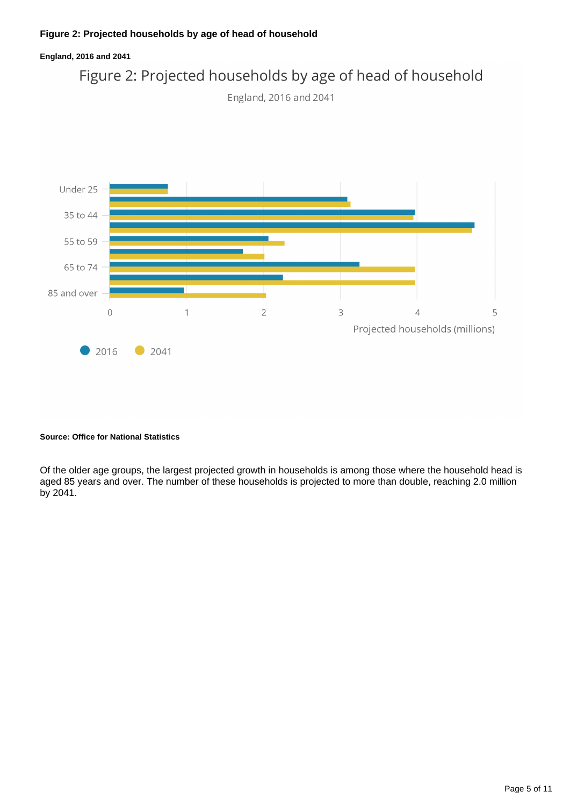#### **Figure 2: Projected households by age of head of household**



#### **Source: Office for National Statistics**

Of the older age groups, the largest projected growth in households is among those where the household head is aged 85 years and over. The number of these households is projected to more than double, reaching 2.0 million by 2041.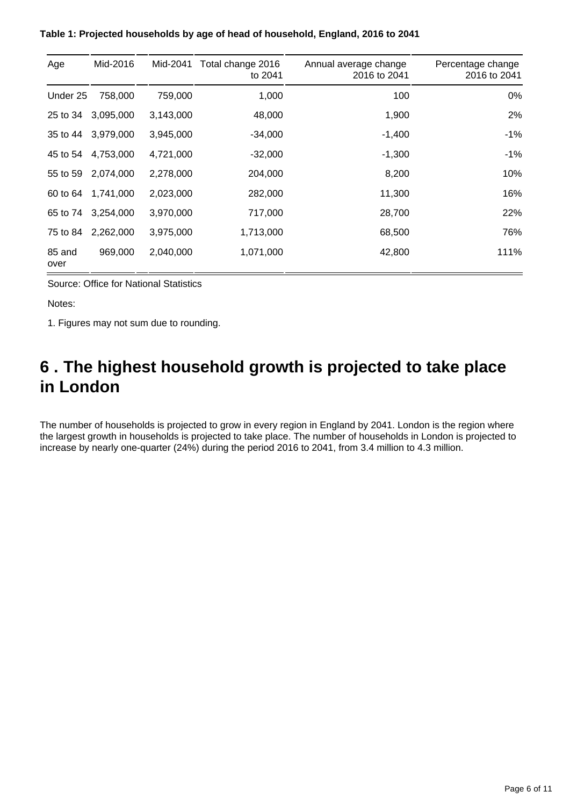| Age            | Mid-2016  | Mid-2041  | Total change 2016<br>to 2041 | Annual average change<br>2016 to 2041 | Percentage change<br>2016 to 2041 |
|----------------|-----------|-----------|------------------------------|---------------------------------------|-----------------------------------|
| Under 25       | 758,000   | 759,000   | 1,000                        | 100                                   | 0%                                |
| 25 to 34       | 3,095,000 | 3,143,000 | 48,000                       | 1,900                                 | 2%                                |
| 35 to 44       | 3,979,000 | 3,945,000 | $-34,000$                    | $-1,400$                              | $-1%$                             |
| 45 to 54       | 4,753,000 | 4,721,000 | $-32,000$                    | $-1,300$                              | $-1\%$                            |
| 55 to 59       | 2,074,000 | 2,278,000 | 204,000                      | 8,200                                 | 10%                               |
| 60 to 64       | 1,741,000 | 2,023,000 | 282,000                      | 11,300                                | 16%                               |
| 65 to 74       | 3,254,000 | 3,970,000 | 717,000                      | 28,700                                | 22%                               |
| 75 to 84       | 2,262,000 | 3,975,000 | 1,713,000                    | 68,500                                | 76%                               |
| 85 and<br>over | 969,000   | 2,040,000 | 1,071,000                    | 42,800                                | 111%                              |

**Table 1: Projected households by age of head of household, England, 2016 to 2041**

Source: Office for National Statistics

Notes:

1. Figures may not sum due to rounding.

# <span id="page-5-0"></span>**6 . The highest household growth is projected to take place in London**

The number of households is projected to grow in every region in England by 2041. London is the region where the largest growth in households is projected to take place. The number of households in London is projected to increase by nearly one-quarter (24%) during the period 2016 to 2041, from 3.4 million to 4.3 million.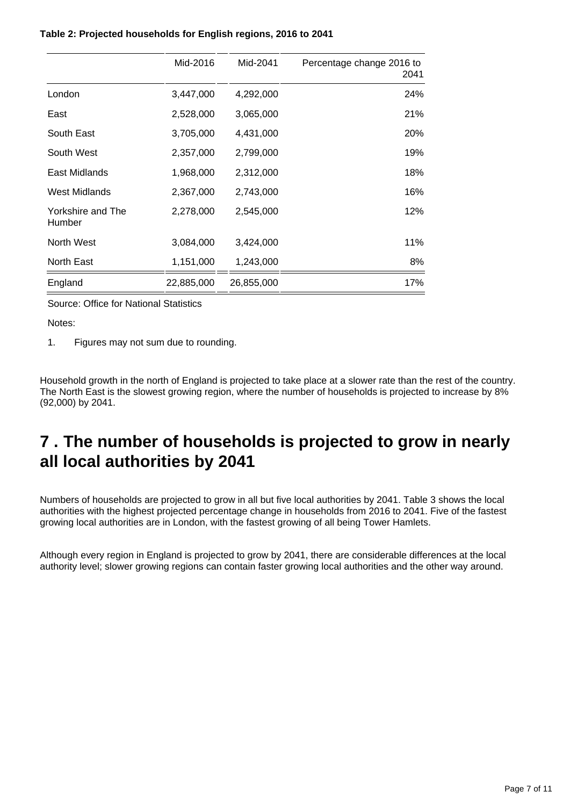#### **Table 2: Projected households for English regions, 2016 to 2041**

|                             | Mid-2016   | Mid-2041   | Percentage change 2016 to<br>2041 |
|-----------------------------|------------|------------|-----------------------------------|
| London                      | 3,447,000  | 4,292,000  | 24%                               |
| East                        | 2,528,000  | 3,065,000  | 21%                               |
| South East                  | 3,705,000  | 4,431,000  | 20%                               |
| South West                  | 2,357,000  | 2,799,000  | 19%                               |
| East Midlands               | 1,968,000  | 2,312,000  | 18%                               |
| West Midlands               | 2,367,000  | 2,743,000  | 16%                               |
| Yorkshire and The<br>Humber | 2,278,000  | 2,545,000  | 12%                               |
| North West                  | 3,084,000  | 3,424,000  | 11%                               |
| North East                  | 1,151,000  | 1,243,000  | 8%                                |
| England                     | 22,885,000 | 26,855,000 | 17%                               |

Source: Office for National Statistics

Notes:

1. Figures may not sum due to rounding.

Household growth in the north of England is projected to take place at a slower rate than the rest of the country. The North East is the slowest growing region, where the number of households is projected to increase by 8% (92,000) by 2041.

### <span id="page-6-0"></span>**7 . The number of households is projected to grow in nearly all local authorities by 2041**

Numbers of households are projected to grow in all but five local authorities by 2041. Table 3 shows the local authorities with the highest projected percentage change in households from 2016 to 2041. Five of the fastest growing local authorities are in London, with the fastest growing of all being Tower Hamlets.

Although every region in England is projected to grow by 2041, there are considerable differences at the local authority level; slower growing regions can contain faster growing local authorities and the other way around.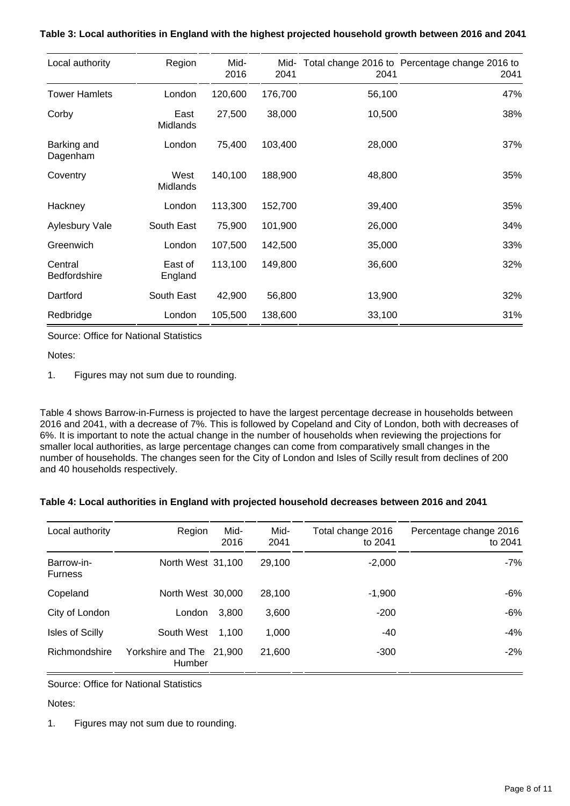| Local authority                | Region             | Mid-<br>2016 | Mid-<br>2041 | 2041   | Total change 2016 to Percentage change 2016 to<br>2041 |
|--------------------------------|--------------------|--------------|--------------|--------|--------------------------------------------------------|
| <b>Tower Hamlets</b>           | London             | 120,600      | 176,700      | 56,100 | 47%                                                    |
| Corby                          | East<br>Midlands   | 27,500       | 38,000       | 10,500 | 38%                                                    |
| Barking and<br>Dagenham        | London             | 75,400       | 103,400      | 28,000 | 37%                                                    |
| Coventry                       | West<br>Midlands   | 140,100      | 188,900      | 48,800 | 35%                                                    |
| Hackney                        | London             | 113,300      | 152,700      | 39,400 | 35%                                                    |
| <b>Aylesbury Vale</b>          | South East         | 75,900       | 101,900      | 26,000 | 34%                                                    |
| Greenwich                      | London             | 107,500      | 142,500      | 35,000 | 33%                                                    |
| Central<br><b>Bedfordshire</b> | East of<br>England | 113,100      | 149,800      | 36,600 | 32%                                                    |
| Dartford                       | South East         | 42,900       | 56,800       | 13,900 | 32%                                                    |
| Redbridge                      | London             | 105,500      | 138,600      | 33,100 | 31%                                                    |

**Table 3: Local authorities in England with the highest projected household growth between 2016 and 2041**

Source: Office for National Statistics

Notes:

1. Figures may not sum due to rounding.

Table 4 shows Barrow-in-Furness is projected to have the largest percentage decrease in households between 2016 and 2041, with a decrease of 7%. This is followed by Copeland and City of London, both with decreases of 6%. It is important to note the actual change in the number of households when reviewing the projections for smaller local authorities, as large percentage changes can come from comparatively small changes in the number of households. The changes seen for the City of London and Isles of Scilly result from declines of 200 and 40 households respectively.

|  |  |  |  | Table 4: Local authorities in England with projected household decreases between 2016 and 2041 |
|--|--|--|--|------------------------------------------------------------------------------------------------|
|  |  |  |  |                                                                                                |
|  |  |  |  |                                                                                                |

| Local authority              | Region                             | Mid-<br>2016 | Mid-<br>2041 | Total change 2016<br>to 2041 | Percentage change 2016<br>to 2041 |
|------------------------------|------------------------------------|--------------|--------------|------------------------------|-----------------------------------|
| Barrow-in-<br><b>Furness</b> | North West 31,100                  |              | 29.100       | $-2,000$                     | -7%                               |
| Copeland                     | North West 30,000                  |              | 28.100       | $-1,900$                     | -6%                               |
| City of London               | London                             | 3.800        | 3,600        | $-200$                       | -6%                               |
| <b>Isles of Scilly</b>       | South West                         | 1.100        | 1,000        | -40                          | -4%                               |
| Richmondshire                | Yorkshire and The 21,900<br>Humber |              | 21,600       | $-300$                       | $-2\%$                            |

Source: Office for National Statistics

Notes:

1. Figures may not sum due to rounding.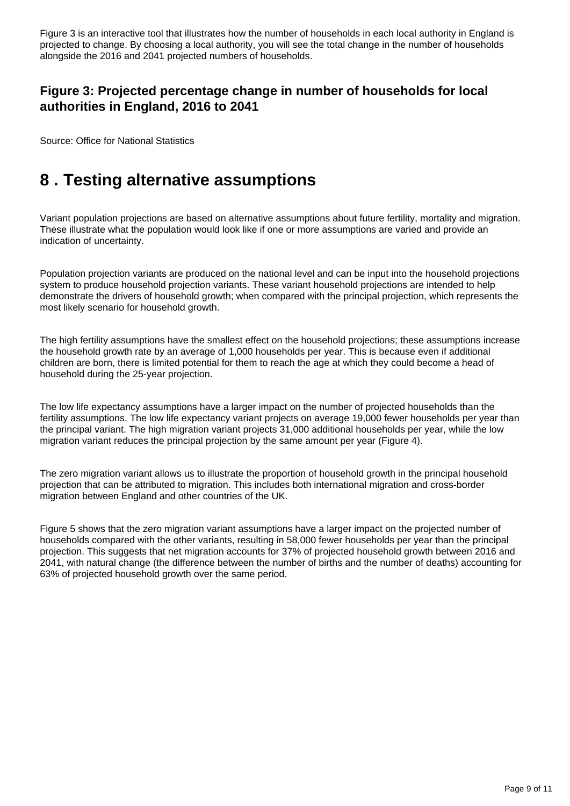Figure 3 is an interactive tool that illustrates how the number of households in each local authority in England is projected to change. By choosing a local authority, you will see the total change in the number of households alongside the 2016 and 2041 projected numbers of households.

#### **Figure 3: Projected percentage change in number of households for local authorities in England, 2016 to 2041**

Source: Office for National Statistics

# <span id="page-8-0"></span>**8 . Testing alternative assumptions**

Variant population projections are based on alternative assumptions about future fertility, mortality and migration. These illustrate what the population would look like if one or more assumptions are varied and provide an indication of uncertainty.

Population projection variants are produced on the national level and can be input into the household projections system to produce household projection variants. These variant household projections are intended to help demonstrate the drivers of household growth; when compared with the principal projection, which represents the most likely scenario for household growth.

The high fertility assumptions have the smallest effect on the household projections; these assumptions increase the household growth rate by an average of 1,000 households per year. This is because even if additional children are born, there is limited potential for them to reach the age at which they could become a head of household during the 25-year projection.

The low life expectancy assumptions have a larger impact on the number of projected households than the fertility assumptions. The low life expectancy variant projects on average 19,000 fewer households per year than the principal variant. The high migration variant projects 31,000 additional households per year, while the low migration variant reduces the principal projection by the same amount per year (Figure 4).

The zero migration variant allows us to illustrate the proportion of household growth in the principal household projection that can be attributed to migration. This includes both international migration and cross-border migration between England and other countries of the UK.

Figure 5 shows that the zero migration variant assumptions have a larger impact on the projected number of households compared with the other variants, resulting in 58,000 fewer households per year than the principal projection. This suggests that net migration accounts for 37% of projected household growth between 2016 and 2041, with natural change (the difference between the number of births and the number of deaths) accounting for 63% of projected household growth over the same period.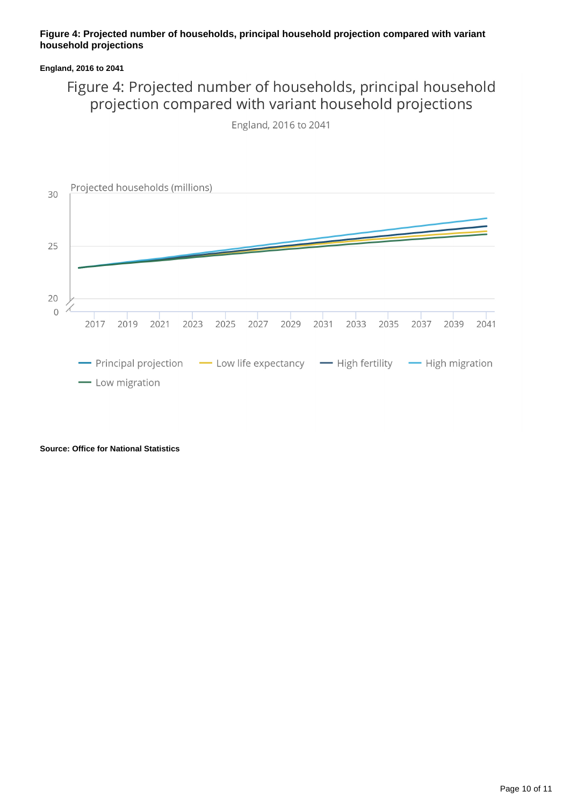#### **Figure 4: Projected number of households, principal household projection compared with variant household projections**

#### **England, 2016 to 2041**

### Figure 4: Projected number of households, principal household projection compared with variant household projections

England, 2016 to 2041



**Source: Office for National Statistics**